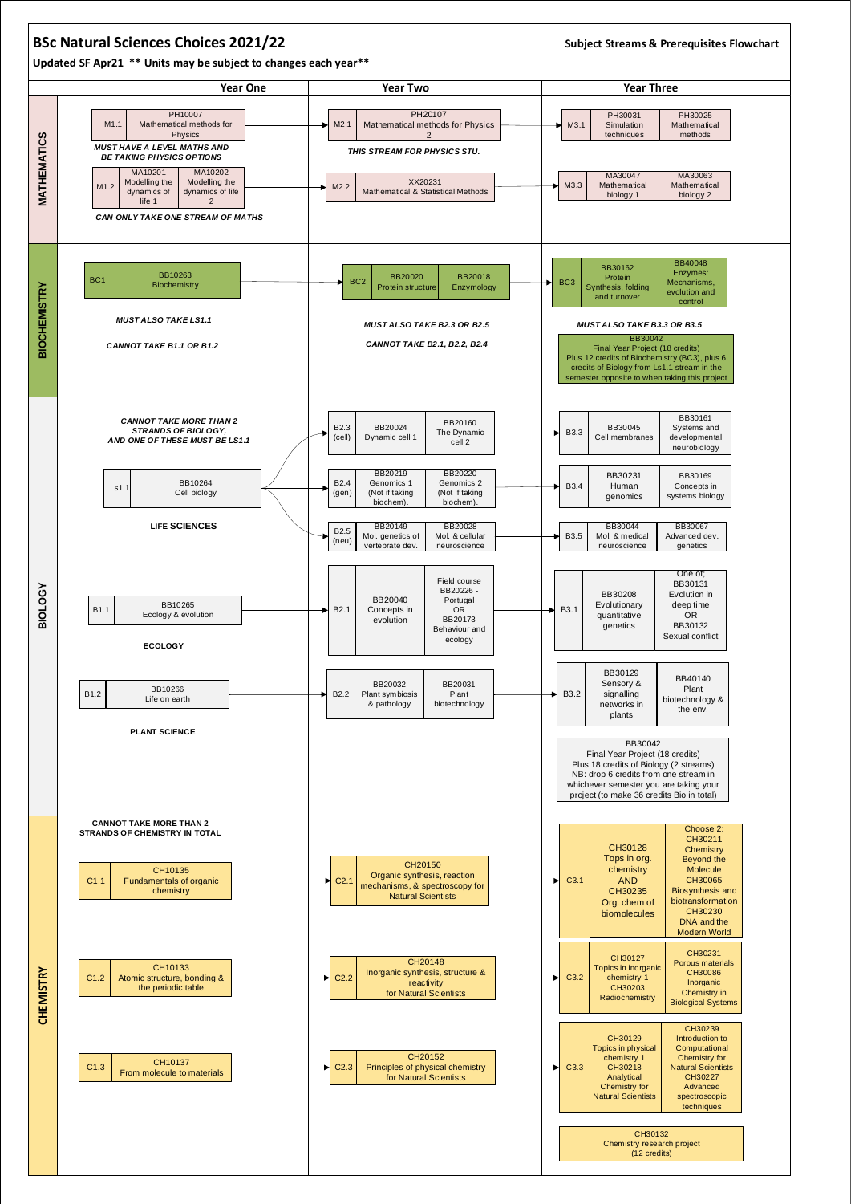